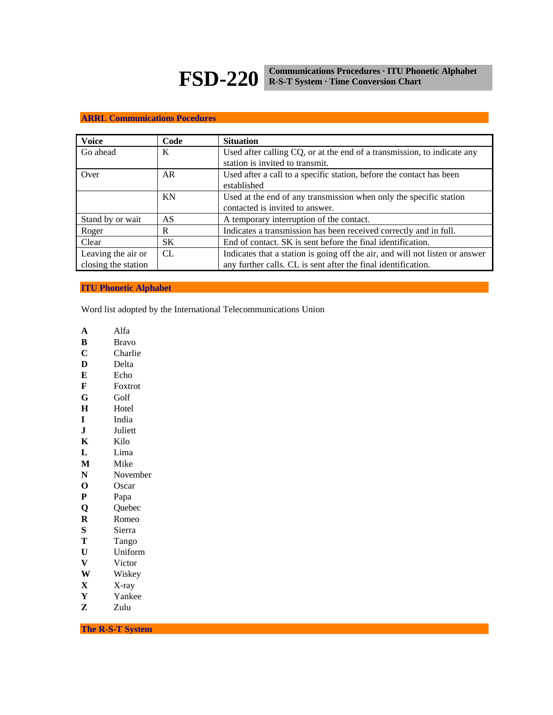# **FSD-220 Communications Procedures · ITU Phonetic Alphabet R-S-T System · Time Conversion Chart**

## **ARRL Communications Pocedures**

| <b>Voice</b>                              | Code      | <b>Situation</b>                                                                                                                              |  |  |
|-------------------------------------------|-----------|-----------------------------------------------------------------------------------------------------------------------------------------------|--|--|
| Go ahead                                  | K         | Used after calling CQ, or at the end of a transmission, to indicate any<br>station is invited to transmit.                                    |  |  |
| Over                                      | AR        | Used after a call to a specific station, before the contact has been<br>established                                                           |  |  |
|                                           | KN        | Used at the end of any transmission when only the specific station<br>contacted is invited to answer.                                         |  |  |
| Stand by or wait                          | AS        | A temporary interruption of the contact.                                                                                                      |  |  |
| Roger                                     | R         | Indicates a transmission has been received correctly and in full.                                                                             |  |  |
| Clear                                     | <b>SK</b> | End of contact. SK is sent before the final identification.                                                                                   |  |  |
| Leaving the air or<br>closing the station | CL.       | Indicates that a station is going off the air, and will not listen or answer<br>any further calls. CL is sent after the final identification. |  |  |

## **ITU Phonetic Alphabet**

Word list adopted by the International Telecommunications Union

- **A** Alfa
- **B** Bravo
- **C** Charlie
- **D** Delta
- **E** Echo
- **F** Foxtrot
- **G** Golf
- **H** Hotel
- **I** India
- **J** Juliett
- **K** Kilo
- **L** Lima
- **M** Mike
- **N** November
- **O** Oscar
- **P** Papa
- **Q** Quebec
- **R** Romeo
- **S** Sierra
- **T** Tango
- **U** Uniform
- **V** Victor
- **W** Wiskey
- **X** X-ray
- 
- **Y** Yankee<br>**Z** Zulu **Z** Zulu

**The R-S-T System**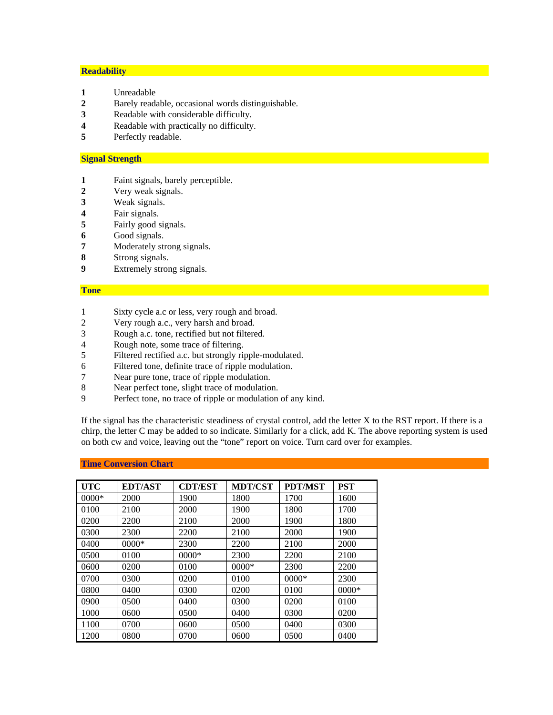### **Readability**

- Unreadable
- Barely readable, occasional words distinguishable.
- Readable with considerable difficulty.
- Readable with practically no difficulty.
- Perfectly readable.

## **Signal Strength**

- Faint signals, barely perceptible.
- Very weak signals.
- Weak signals.
- Fair signals.
- Fairly good signals.
- Good signals.
- Moderately strong signals.
- Strong signals.
- Extremely strong signals.

#### **Tone**

- Sixty cycle a.c or less, very rough and broad.
- 2 Very rough a.c., very harsh and broad.<br>3 Rough a.c. tone, rectified but not filtere
- 3 Rough a.c. tone, rectified but not filtered.<br>4 Rough note, some trace of filtering.
- Rough note, some trace of filtering.
- Filtered rectified a.c. but strongly ripple-modulated.
- Filtered tone, definite trace of ripple modulation.
- 7 Near pure tone, trace of ripple modulation.<br>8 Near perfect tone, slight trace of modulation
- Near perfect tone, slight trace of modulation.
- Perfect tone, no trace of ripple or modulation of any kind.

If the signal has the characteristic steadiness of crystal control, add the letter X to the RST report. If there is a chirp, the letter C may be added to so indicate. Similarly for a click, add K. The above reporting system is used on both cw and voice, leaving out the "tone" report on voice. Turn card over for examples.

| <b>UTC</b> | <b>EDT/AST</b> | <b>CDT/EST</b> | <b>MDT/CST</b> | <b>PDT/MST</b> | <b>PST</b> |
|------------|----------------|----------------|----------------|----------------|------------|
| $0000*$    | 2000           | 1900           | 1800           | 1700           | 1600       |
| 0100       | 2100           | 2000           | 1900           | 1800           | 1700       |
| 0200       | 2200           | 2100           | 2000           | 1900           | 1800       |
| 0300       | 2300           | 2200           | 2100           | 2000           | 1900       |
| 0400       | $0000*$        | 2300           | 2200           | 2100           | 2000       |
| 0500       | 0100           | $0000*$        | 2300           | 2200           | 2100       |
| 0600       | 0200           | 0100           | $0000*$        | 2300           | 2200       |
| 0700       | 0300           | 0200           | 0100           | $0000*$        | 2300       |
| 0800       | 0400           | 0300           | 0200           | 0100           | $0000*$    |
| 0900       | 0500           | 0400           | 0300           | 0200           | 0100       |
| 1000       | 0600           | 0500           | 0400           | 0300           | 0200       |
| 1100       | 0700           | 0600           | 0500           | 0400           | 0300       |
| 1200       | 0800           | 0700           | 0600           | 0500           | 0400       |